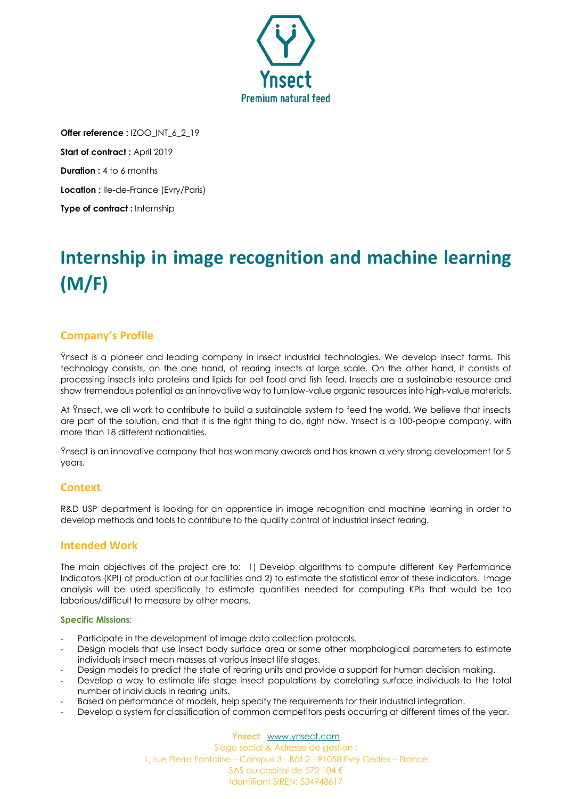

**Offer reference :** IZOO\_INT\_6\_2\_19 **Start of contract: April 2019 Duration :** 4 to 6 months **Location :** Ile-de-France (Evry/Paris) **Type of contract :** Internship

# **Internship in image recognition and machine learning (M/F)**

# **Company's Profile**

Ÿnsect is a pioneer and leading company in insect industrial technologies. We develop insect farms. This technology consists, on the one hand, of rearing insects at large scale. On the other hand, it consists of processing insects into proteins and lipids for pet food and fish feed. Insects are a sustainable resource and show tremendous potential as an innovative way to turn low-value organic resources into high-value materials.

At Ÿnsect, we all work to contribute to build a sustainable system to feed the world. We believe that insects are part of the solution, and that it is the right thing to do, right now. Ynsect is a 100-people company, with more than 18 different nationalities.

Ÿnsect is an innovative company that has won many awards and has known a very strong development for 5 years.

## **Context**

R&D USP department is looking for an apprentice in image recognition and machine learning in order to develop methods and tools to contribute to the quality control of industrial insect rearing.

# **Intended Work**

The main objectives of the project are to: 1) Develop algorithms to compute different Key Performance Indicators (KPI) of production at our facilities and 2) to estimate the statistical error of these indicators. Image analysis will be used specifically to estimate quantities needed for computing KPIs that would be too laborious/difficult to measure by other means.

#### **Specific Missions:**

- Participate in the development of image data collection protocols.
- Design models that use insect body surface area or some other morphological parameters to estimate individuals insect mean masses at various insect life stages.
- Design models to predict the state of rearing units and provide a support for human decision making.
- Develop a way to estimate life stage insect populations by correlating surface individuals to the total number of individuals in rearing units.
- Based on performance of models, help specify the requirements for their industrial integration.
- Develop a system for classification of common competitors pests occurring at different times of the year.

**Ÿnsect** - [www.ynsect.com](http://www.ynsect.com/) Siège social & Adresse de gestion : 1, rue Pierre Fontaine – Campus 3 - Bât 2 - 91058 Evry Cedex – France SAS au capital de 572 104 € Identifiant SIREN: 534948617